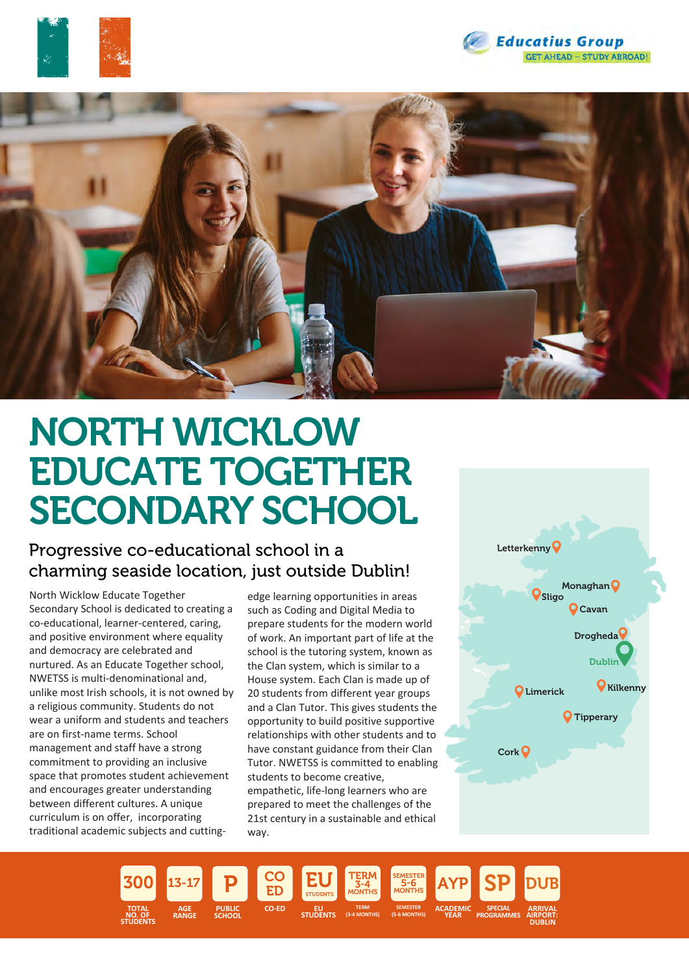





# NORTH WICKLOW EDUCATE TOGETHER SECONDARY SCHOOL

### Progressive co-educational school in a charming seaside location, just outside Dublin!

North Wicklow Educate Together Secondary School is dedicated to creating a co-educational, learner-centered, caring, and positive environment where equality and democracy are celebrated and nurtured. As an Educate Together school, NWETSS is multi-denominational and, unlike most Irish schools, it is not owned by a religious community. Students do not wear a uniform and students and teachers are on first-name terms. School management and staff have a strong commitment to providing an inclusive space that promotes student achievement and encourages greater understanding between different cultures. A unique curriculum is on offer, incorporating traditional academic subjects and cutting-

edge learning opportunities in areas such as Coding and Digital Media to prepare students for the modern world of work. An important part of life at the school is the tutoring system, known as the Clan system, which is similar to a House system. Each Clan is made up of 20 students from different year groups and a Clan Tutor. This gives students the opportunity to build positive supportive relationships with other students and to have constant guidance from their Clan Tutor. NWETSS is committed to enabling students to become creative, empathetic, life-long learners who are prepared to meet the challenges of the

21st century in a sustainable and ethical way.



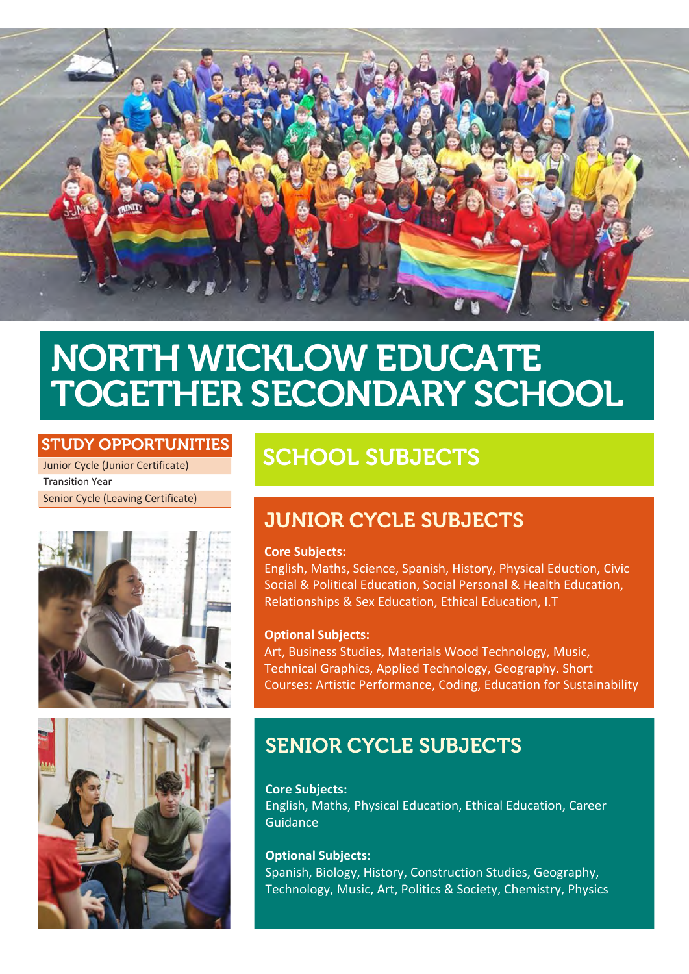

# NORTH WICKLOW EDUCATE TOGETHER SECONDARY SCHOOL

### STUDY OPPORTUNITIES

Junior Cycle (Junior Certificate) Transition Year Senior Cycle (Leaving Certificate)





## SCHOOL SUBJECTS

## JUNIOR CYCLE SUBJECTS

#### **Core Subjects:**

English, Maths, Science, Spanish, History, Physical Eduction, Civic Social & Political Education, Social Personal & Health Education, Relationships & Sex Education, Ethical Education, I.T

#### **Optional Subjects:**

Art, Business Studies, Materials Wood Technology, Music, Technical Graphics, Applied Technology, Geography. Short Courses: Artistic Performance, Coding, Education for Sustainability

## SENIOR CYCLE SUBJECTS

**Core Subjects:** English, Maths, Physical Education, Ethical Education, Career Guidance

#### **Optional Subjects:**

Spanish, Biology, History, Construction Studies, Geography, Technology, Music, Art, Politics & Society, Chemistry, Physics